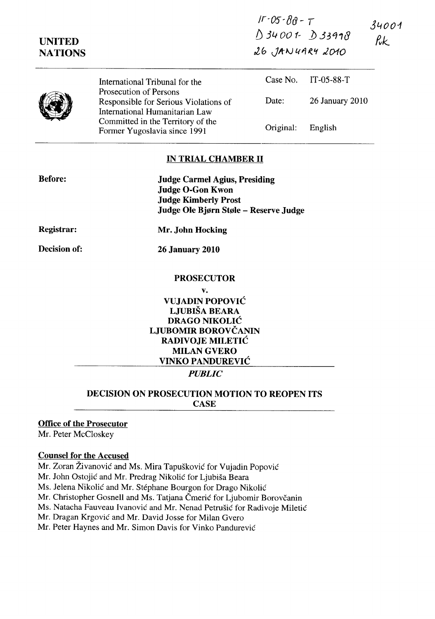| <b>UNITED</b><br><b>NATIONS</b> |                                                                                                   | $11 - 05 - 019 - 7$<br>$034001 - 033998$<br>$26$ , JANUARY 2010 |                 | 34001<br>$\n  rk\n$ |
|---------------------------------|---------------------------------------------------------------------------------------------------|-----------------------------------------------------------------|-----------------|---------------------|
|                                 | International Tribunal for the                                                                    | Case No.                                                        | $IT-05-88-T$    |                     |
|                                 | Prosecution of Persons<br>Responsible for Serious Violations of<br>International Humanitarian Law | Date:                                                           | 26 January 2010 |                     |
|                                 | Committed in the Territory of the<br>Former Yugoslavia since 1991                                 | Original:                                                       | English         |                     |

 $I - 05 - 80 - T$ 

### **IN TRIAL CHAMBER II**

| <b>Before:</b> | <b>Judge Carmel Agius, Presiding</b><br><b>Judge O-Gon Kwon</b><br><b>Judge Kimberly Prost</b><br>Judge Ole Bjørn Støle – Reserve Judge |
|----------------|-----------------------------------------------------------------------------------------------------------------------------------------|
| Registrar:     | Mr. John Hocking                                                                                                                        |
| Decision of:   | <b>26 January 2010</b>                                                                                                                  |
|                | <b>PROSECUTOR</b>                                                                                                                       |
|                | v.                                                                                                                                      |
|                | VUJADIN POPOVIĆ                                                                                                                         |
|                | LJUBIŠA BEARA                                                                                                                           |
|                | <b>DRAGO NIKOLIĆ</b>                                                                                                                    |

# LJUBOMIR BOROVČANIN RADIVOJE MILETIĆ MILAN GVERO VINKO PANDUREVIC

## *PUBLIC*

## DECISION ON PROSECUTION MOTION TO REOPEN ITS **CASE**

#### Office of the Prosecutor

Mr. Peter McCloskey

#### Counsel for the Accused

Mr. Zoran Zivanovic and Ms. Mira Tapuskovic for Vujadin Popovic

Mr. John Ostojic and Mr. Predrag Nikolic for Ljubisa Beara

Ms. Jelena Nikolic and Mr. Stephane Bourgon for Drago Nikolic

Mr. Christopher Gosnell and Ms. Tatjana Čmerić for Ljubomir Borovčanin

Ms. Natacha Fauveau Ivanovic and Mr. Nenad Petrusic for Radivoje Miletic

Mr. Dragan Krgovic and Mr. David Josse for Milan Gvero

Mr. Peter Haynes and Mr. Simon Davis for Vinko Pandurević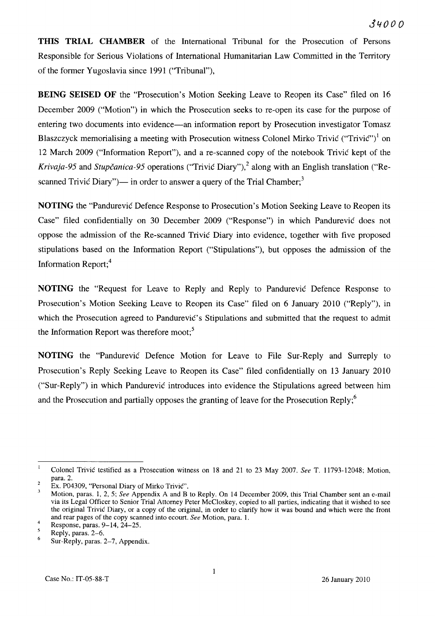**THIS TRIAL CHAMBER** of the International Tribunal for the Prosecution of Persons Responsible for Serious Violations of International Humanitarian Law Committed in the Territory of the former Yugoslavia since 1991 ("Tribunal"),

**BEING SEISED OF** the "Prosecution's Motion Seeking Leave to Reopen its Case" filed on 16 December 2009 ("Motion") in which the Prosecution seeks to re-open its case for the purpose of entering two documents into evidence—an information report by Prosecution investigator Tomasz Blaszczyck memorialising a meeting with Prosecution witness Colonel Mirko Trivic ("Trivic")<sup>1</sup> on 12 March 2009 ("Information Report"), and a re-scanned copy of the notebook Trivic kept of the *Krivaja-95* and *Stupčanica-95* operations ("Trivic Diary"),<sup>2</sup> along with an English translation ("Rescanned Trivic Diary")— in order to answer a query of the Trial Chamber;<sup>3</sup>

**NOTING** the "Pandurevic Defence Response to Prosecution's Motion Seeking Leave to Reopen its Case" filed confidentially on 30 December 2009 ("Response") in which Pandurevic does not oppose the admission of the Re-scanned Trivic Diary into evidence, together with five proposed stipulations based on the Information Report ("Stipulations"), but opposes the admission of the Information Report;4

**NOTING** the "Request for Leave to Reply and Reply to Pandurevic Defence Response to Prosecution's Motion Seeking Leave to Reopen its Case" filed on 6 January 2010 ("Reply"), in which the Prosecution agreed to Pandurevic's Stipulations and submitted that the request to admit the Information Report was therefore moot; $<sup>5</sup>$ </sup>

**NOTING** the "Pandurevic Defence Motion for Leave to File Sur-Reply and Surreply to Prosecution's Reply Seeking Leave to Reopen its Case" filed confidentially on 13 January 2010 ("Sur-Reply") in which Pandurevic introduces into evidence the Stipulations agreed between him and the Prosecution and partially opposes the granting of leave for the Prosecution Reply;<sup>6</sup>

 $\mathbf{I}$ Colonel Trivic testified as a Prosecution witness on 18 and 21 to 23 May 2007. *See* T. 11793-12048; Motion, para. 2.

 $\overline{a}$ Ex. P04309, "Personal Diary of Mirko Trivic".

Motion, paras. 1, 2, 5; *See* Appendix A and B to Reply. On 14 December 2009, this Trial Chamber sent an e-mail via its Legal Officer to Senior Trial Attorney Peter McCloskey, copied to all parties, indicating that it wished to see the original Trivic Diary, or a copy of the original, in order to clarify how it was bound and which were the front and rear pages of the copy scanned into ecourt. *See* Motion, para. 1.

<sup>4</sup>  Response, paras. 9-14, 24-25.

 $\overline{5}$ Reply, paras. 2-6.

<sup>6</sup>  Sur-Reply, paras. 2-7, Appendix.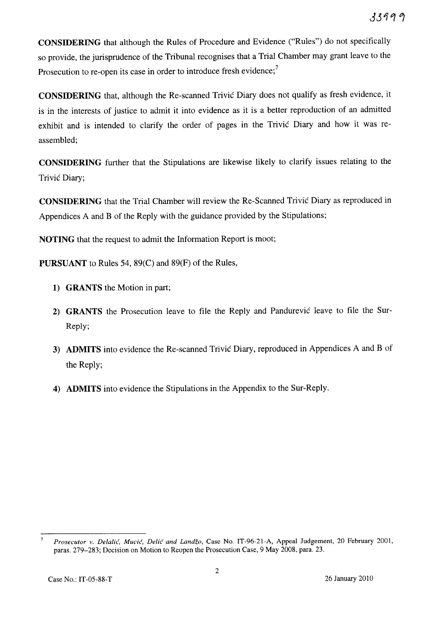CONSIDERING that although the Rules of Procedure and Evidence ("Rules") do not specifically so provide, the jurisprudence of the Tribunal recognises that a Trial Chamber may grant leave to the Prosecution to re-open its case in order to introduce fresh evidence;<sup>7</sup>

CONSIDERING that, although the Re-scanned Trivic Diary does not qualify as fresh evidence, it is in the interests of justice to admit it into evidence as it is a better reproduction of an admitted exhibit and is intended to clarify the order of pages in the Trivic Diary and how it was reassembled;

CONSIDERING further that the Stipulations are likewise likely to clarify issues relating to the Trivic Diary;

CONSIDERING that the Trial Chamber will review the Re-Scanned Trivic Diary as reproduced in Appendices A and B of the Reply with the guidance provided by the Stipulations;

NOTING that the request to admit the Information Report is moot;

PURSUANT to Rules 54, 89(C) and 89(F) of the Rules,

- 1) GRANTS the Motion in part;
- 2) GRANTS the Prosecution leave to file the Reply and Pandurevic leave to file the Sur-Reply;
- 3) ADMITS into evidence the Re-scanned Trivic Diary, reproduced in Appendices A and B of the Reply;
- 4) ADMITS into evidence the Stipulations in the Appendix to the Sur-Reply.

*Prosecutor v. Delalic, Mucic, Delic and Landzo,* Case No. IT-96-21-A, Appeal Judgement, 20 February 2001, paras. 279-283; Decision on Motion to Reopen the Prosecution Case, 9 May 2008, para. 23.